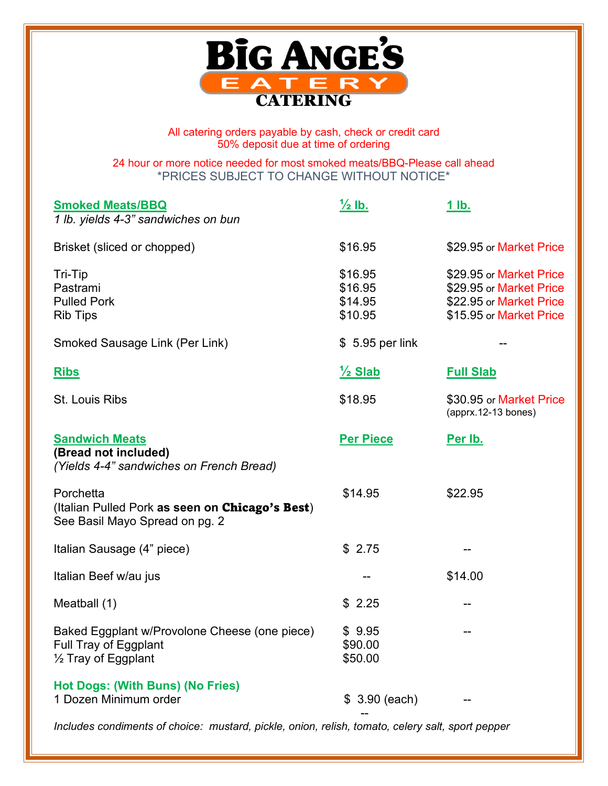

All catering orders payable by cash, check or credit card 50% deposit due at time of ordering

24 hour or more notice needed for most smoked meats/BBQ-Please call ahead \*PRICES SUBJECT TO CHANGE WITHOUT NOTICE\*

| <b>Smoked Meats/BBQ</b><br>1 lb. yields 4-3" sandwiches on bun                                           | $\frac{1}{2}$ lb.                        | <u>1 lb.</u>                                                                                             |
|----------------------------------------------------------------------------------------------------------|------------------------------------------|----------------------------------------------------------------------------------------------------------|
| Brisket (sliced or chopped)                                                                              | \$16.95                                  | \$29.95 or Market Price                                                                                  |
| Tri-Tip<br>Pastrami<br><b>Pulled Pork</b><br><b>Rib Tips</b>                                             | \$16.95<br>\$16.95<br>\$14.95<br>\$10.95 | \$29.95 or Market Price<br>\$29.95 or Market Price<br>\$22.95 or Market Price<br>\$15.95 or Market Price |
| Smoked Sausage Link (Per Link)                                                                           | $$5.95$ per link                         |                                                                                                          |
| <b>Ribs</b>                                                                                              | $\frac{1}{2}$ Slab                       | <b>Full Slab</b>                                                                                         |
| <b>St. Louis Ribs</b>                                                                                    | \$18.95                                  | \$30.95 or Market Price<br>(apprx.12-13 bones)                                                           |
| <b>Sandwich Meats</b><br>(Bread not included)<br>(Yields 4-4" sandwiches on French Bread)                | <b>Per Piece</b>                         | Per Ib.                                                                                                  |
| Porchetta<br>(Italian Pulled Pork as seen on Chicago's Best)<br>See Basil Mayo Spread on pg. 2           | \$14.95                                  | \$22.95                                                                                                  |
| Italian Sausage (4" piece)                                                                               | \$2.75                                   |                                                                                                          |
| Italian Beef w/au jus                                                                                    |                                          | \$14.00                                                                                                  |
| Meatball (1)                                                                                             | \$2.25                                   |                                                                                                          |
| Baked Eggplant w/Provolone Cheese (one piece)<br>Full Tray of Eggplant<br>$\frac{1}{2}$ Tray of Eggplant | \$9.95<br>\$90.00<br>\$50.00             |                                                                                                          |
| Hot Dogs: (With Buns) (No Fries)<br>1 Dozen Minimum order                                                | \$3.90 (each)                            |                                                                                                          |
| Includes condiments of choice: mustard, pickle, onion, relish, tomato, celery salt, sport pepper         |                                          |                                                                                                          |